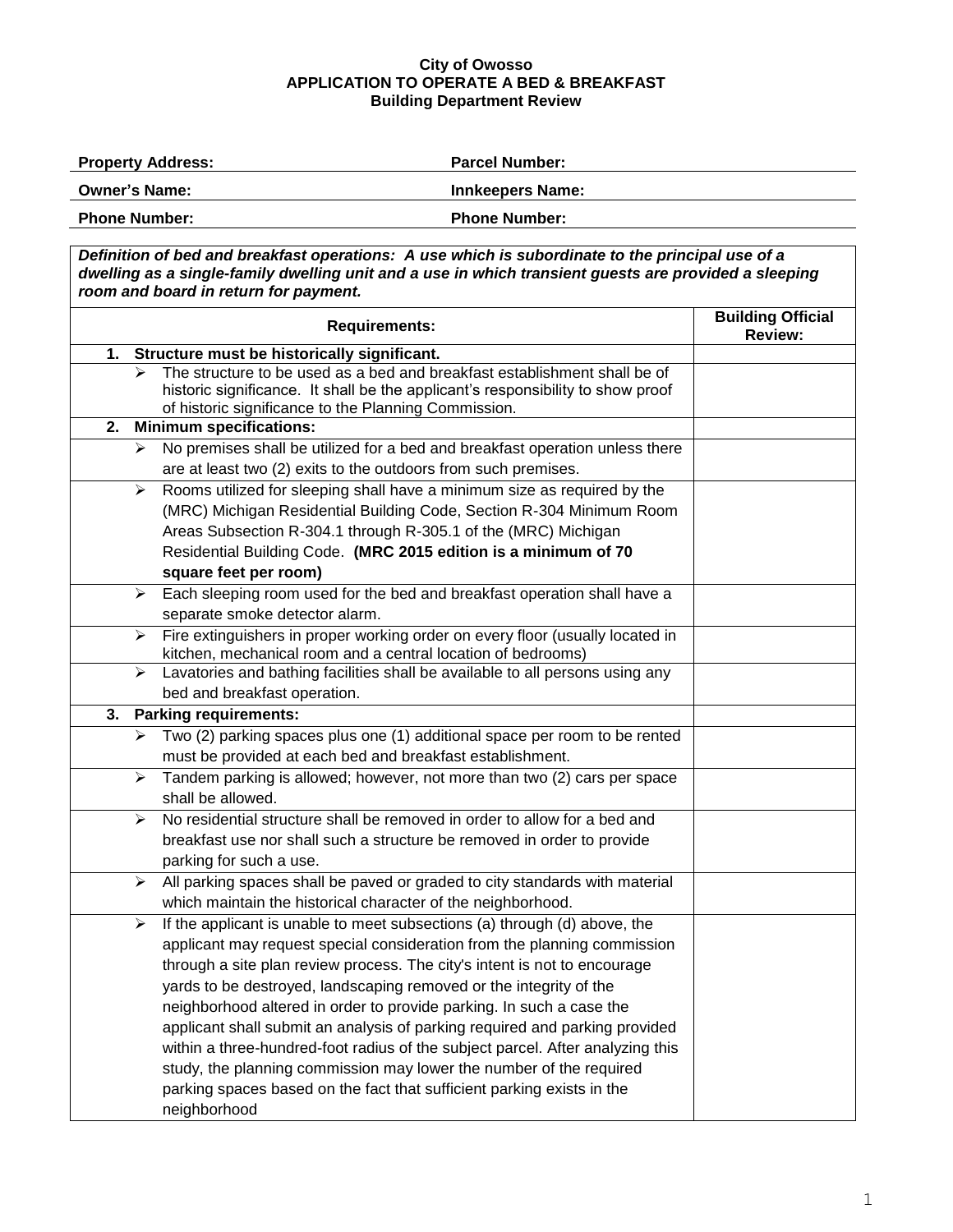## **City of Owosso APPLICATION TO OPERATE A BED & BREAKFAST Building Department Review**

| <b>Property Address:</b> | <b>Parcel Number:</b>   |  |
|--------------------------|-------------------------|--|
| <b>Owner's Name:</b>     | <b>Innkeepers Name:</b> |  |
| <b>Phone Number:</b>     | <b>Phone Number:</b>    |  |

*Definition of bed and breakfast operations: A use which is subordinate to the principal use of a dwelling as a single-family dwelling unit and a use in which transient guests are provided a sleeping room and board in return for payment.*

|    | <b>Building Official</b><br><b>Review:</b>                                                                                                                                                                                                                                                                                                                                                                                                                                                                                                                                                                                                                                                                              |  |  |  |
|----|-------------------------------------------------------------------------------------------------------------------------------------------------------------------------------------------------------------------------------------------------------------------------------------------------------------------------------------------------------------------------------------------------------------------------------------------------------------------------------------------------------------------------------------------------------------------------------------------------------------------------------------------------------------------------------------------------------------------------|--|--|--|
| 1. | Structure must be historically significant.                                                                                                                                                                                                                                                                                                                                                                                                                                                                                                                                                                                                                                                                             |  |  |  |
|    | The structure to be used as a bed and breakfast establishment shall be of<br>historic significance. It shall be the applicant's responsibility to show proof<br>of historic significance to the Planning Commission.                                                                                                                                                                                                                                                                                                                                                                                                                                                                                                    |  |  |  |
|    | 2.<br><b>Minimum specifications:</b>                                                                                                                                                                                                                                                                                                                                                                                                                                                                                                                                                                                                                                                                                    |  |  |  |
|    | No premises shall be utilized for a bed and breakfast operation unless there<br>➤<br>are at least two (2) exits to the outdoors from such premises.                                                                                                                                                                                                                                                                                                                                                                                                                                                                                                                                                                     |  |  |  |
|    | Rooms utilized for sleeping shall have a minimum size as required by the<br>$\blacktriangleright$<br>(MRC) Michigan Residential Building Code, Section R-304 Minimum Room<br>Areas Subsection R-304.1 through R-305.1 of the (MRC) Michigan<br>Residential Building Code. (MRC 2015 edition is a minimum of 70<br>square feet per room)                                                                                                                                                                                                                                                                                                                                                                                 |  |  |  |
|    | Each sleeping room used for the bed and breakfast operation shall have a<br>➤<br>separate smoke detector alarm.                                                                                                                                                                                                                                                                                                                                                                                                                                                                                                                                                                                                         |  |  |  |
|    | Fire extinguishers in proper working order on every floor (usually located in<br>➤<br>kitchen, mechanical room and a central location of bedrooms)                                                                                                                                                                                                                                                                                                                                                                                                                                                                                                                                                                      |  |  |  |
|    | Lavatories and bathing facilities shall be available to all persons using any<br>➤<br>bed and breakfast operation.                                                                                                                                                                                                                                                                                                                                                                                                                                                                                                                                                                                                      |  |  |  |
| 3. | <b>Parking requirements:</b>                                                                                                                                                                                                                                                                                                                                                                                                                                                                                                                                                                                                                                                                                            |  |  |  |
|    | Two (2) parking spaces plus one (1) additional space per room to be rented<br>➤<br>must be provided at each bed and breakfast establishment.                                                                                                                                                                                                                                                                                                                                                                                                                                                                                                                                                                            |  |  |  |
|    | Tandem parking is allowed; however, not more than two (2) cars per space<br>⋗<br>shall be allowed.                                                                                                                                                                                                                                                                                                                                                                                                                                                                                                                                                                                                                      |  |  |  |
|    | No residential structure shall be removed in order to allow for a bed and<br>⋗<br>breakfast use nor shall such a structure be removed in order to provide<br>parking for such a use.                                                                                                                                                                                                                                                                                                                                                                                                                                                                                                                                    |  |  |  |
|    | All parking spaces shall be paved or graded to city standards with material<br>≻<br>which maintain the historical character of the neighborhood.                                                                                                                                                                                                                                                                                                                                                                                                                                                                                                                                                                        |  |  |  |
|    | If the applicant is unable to meet subsections (a) through (d) above, the<br>➤<br>applicant may request special consideration from the planning commission<br>through a site plan review process. The city's intent is not to encourage<br>yards to be destroyed, landscaping removed or the integrity of the<br>neighborhood altered in order to provide parking. In such a case the<br>applicant shall submit an analysis of parking required and parking provided<br>within a three-hundred-foot radius of the subject parcel. After analyzing this<br>study, the planning commission may lower the number of the required<br>parking spaces based on the fact that sufficient parking exists in the<br>neighborhood |  |  |  |